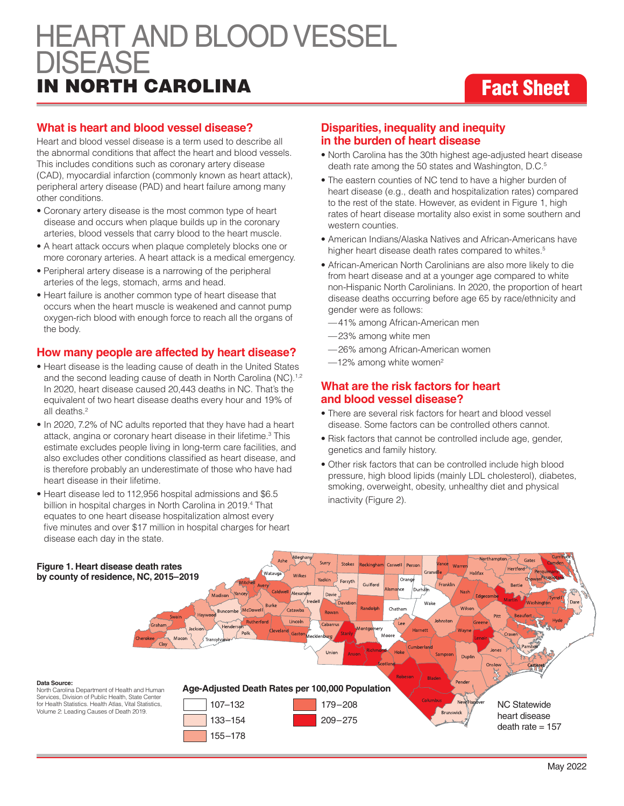# IN NORTH CAROLINA **Fact Sheet** HEART AND BLOOD VESSEL **DISEASE**

## **What is heart and blood vessel disease?**

Heart and blood vessel disease is a term used to describe all the abnormal conditions that affect the heart and blood vessels. This includes conditions such as coronary artery disease (CAD), myocardial infarction (commonly known as heart attack), peripheral artery disease (PAD) and heart failure among many other conditions.

- Coronary artery disease is the most common type of heart disease and occurs when plaque builds up in the coronary arteries, blood vessels that carry blood to the heart muscle.
- A heart attack occurs when plaque completely blocks one or more coronary arteries. A heart attack is a medical emergency.
- Peripheral artery disease is a narrowing of the peripheral arteries of the legs, stomach, arms and head.
- Heart failure is another common type of heart disease that occurs when the heart muscle is weakened and cannot pump oxygen-rich blood with enough force to reach all the organs of the body.

### **How many people are affected by heart disease?**

- Heart disease is the leading cause of death in the United States and the second leading cause of death in North Carolina (NC).<sup>1,2</sup> In 2020, heart disease caused 20,443 deaths in NC. That's the equivalent of two heart disease deaths every hour and 19% of all deaths<sup>2</sup>
- In 2020, 7.2% of NC adults reported that they have had a heart attack, angina or coronary heart disease in their lifetime.<sup>3</sup> This estimate excludes people living in long-term care facilities, and also excludes other conditions classified as heart disease, and is therefore probably an underestimate of those who have had heart disease in their lifetime.
- Heart disease led to 112,956 hospital admissions and \$6.5 billion in hospital charges in North Carolina in 2019.<sup>4</sup> That equates to one heart disease hospitalization almost every five minutes and over \$17 million in hospital charges for heart disease each day in the state.

## **Disparities, inequality and inequity in the burden of heart disease**

- North Carolina has the 30th highest age-adjusted heart disease death rate among the 50 states and Washington, D.C.<sup>5</sup>
- The eastern counties of NC tend to have a higher burden of heart disease (e.g., death and hospitalization rates) compared to the rest of the state. However, as evident in Figure 1, high rates of heart disease mortality also exist in some southern and western counties.
- American Indians/Alaska Natives and African-Americans have higher heart disease death rates compared to whites.<sup>5</sup>
- African-American North Carolinians are also more likely to die from heart disease and at a younger age compared to white non-Hispanic North Carolinians. In 2020, the proportion of heart disease deaths occurring before age 65 by race/ethnicity and gender were as follows:
	- —41% among African-American men
	- —23% among white men
	- —26% among African-American women
	- $-12\%$  among white women<sup>2</sup>

#### **What are the risk factors for heart and blood vessel disease?**

- There are several risk factors for heart and blood vessel disease. Some factors can be controlled others cannot.
- Risk factors that cannot be controlled include age, gender, genetics and family history.
- Other risk factors that can be controlled include high blood pressure, high blood lipids (mainly LDL cholesterol), diabetes, smoking, overweight, obesity, unhealthy diet and physical inactivity (Figure 2).